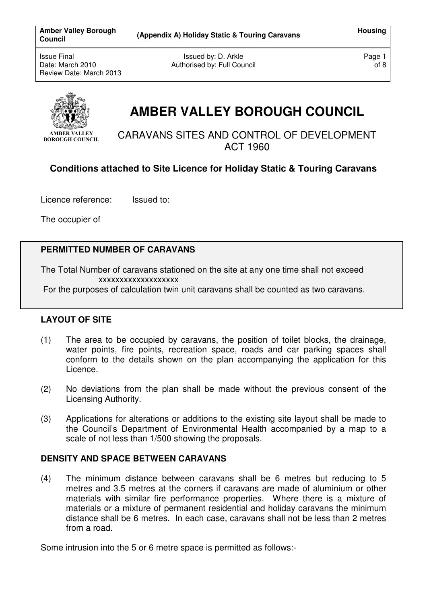Amber Valley Borough (Appendix A) Holiday Static & Touring Caravans **Housing Housing** 

Issue Final Date: March 2010 Review Date: March 2013

Issued by: D. Arkle Authorised by: Full Council Page 1 of 8



# **AMBER VALLEY BOROUGH COUNCIL**

CARAVANS SITES AND CONTROL OF DEVELOPMENT ACT 1960

# **Conditions attached to Site Licence for Holiday Static & Touring Caravans**

Licence reference:Issued to:

The occupier of

## **PERMITTED NUMBER OF CARAVANS**

The Total Number of caravans stationed on the site at any one time shall not exceed xxxxxxxxxxxxxxxxxxx

For the purposes of calculation twin unit caravans shall be counted as two caravans.

## **LAYOUT OF SITE**

- (1) The area to be occupied by caravans, the position of toilet blocks, the drainage, water points, fire points, recreation space, roads and car parking spaces shall conform to the details shown on the plan accompanying the application for this Licence.
- (2) No deviations from the plan shall be made without the previous consent of the Licensing Authority.
- (3) Applications for alterations or additions to the existing site layout shall be made to the Council's Department of Environmental Health accompanied by a map to a scale of not less than 1/500 showing the proposals.

## **DENSITY AND SPACE BETWEEN CARAVANS**

(4) The minimum distance between caravans shall be 6 metres but reducing to 5 metres and 3.5 metres at the corners if caravans are made of aluminium or other materials with similar fire performance properties. Where there is a mixture of materials or a mixture of permanent residential and holiday caravans the minimum distance shall be 6 metres. In each case, caravans shall not be less than 2 metres from a road.

Some intrusion into the 5 or 6 metre space is permitted as follows:-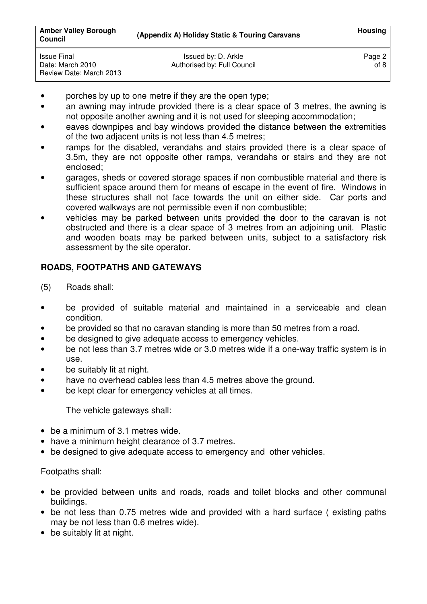| <b>Amber Valley Borough</b><br><b>Council</b>                     | (Appendix A) Holiday Static & Touring Caravans     | <b>Housing</b> |
|-------------------------------------------------------------------|----------------------------------------------------|----------------|
| <b>Issue Final</b><br>Date: March 2010<br>Review Date: March 2013 | Issued by: D. Arkle<br>Authorised by: Full Council | Page 2<br>of 8 |

- porches by up to one metre if they are the open type;
- an awning may intrude provided there is a clear space of 3 metres, the awning is not opposite another awning and it is not used for sleeping accommodation;
- eaves downpipes and bay windows provided the distance between the extremities of the two adjacent units is not less than 4.5 metres;
- ramps for the disabled, verandahs and stairs provided there is a clear space of 3.5m, they are not opposite other ramps, verandahs or stairs and they are not enclosed;
- garages, sheds or covered storage spaces if non combustible material and there is sufficient space around them for means of escape in the event of fire. Windows in these structures shall not face towards the unit on either side. Car ports and covered walkways are not permissible even if non combustible;
- vehicles may be parked between units provided the door to the caravan is not obstructed and there is a clear space of 3 metres from an adjoining unit. Plastic and wooden boats may be parked between units, subject to a satisfactory risk assessment by the site operator.

# **ROADS, FOOTPATHS AND GATEWAYS**

- (5) Roads shall:
- be provided of suitable material and maintained in a serviceable and clean condition.
- be provided so that no caravan standing is more than 50 metres from a road.
- be designed to give adequate access to emergency vehicles.
- be not less than 3.7 metres wide or 3.0 metres wide if a one-way traffic system is in use.
- be suitably lit at night.
- have no overhead cables less than 4.5 metres above the ground.
- be kept clear for emergency vehicles at all times.

The vehicle gateways shall:

- be a minimum of 3.1 metres wide.
- have a minimum height clearance of 3.7 metres.
- be designed to give adequate access to emergency and other vehicles.

## Footpaths shall:

- be provided between units and roads, roads and toilet blocks and other communal buildings.
- be not less than 0.75 metres wide and provided with a hard surface ( existing paths may be not less than 0.6 metres wide).
- be suitably lit at night.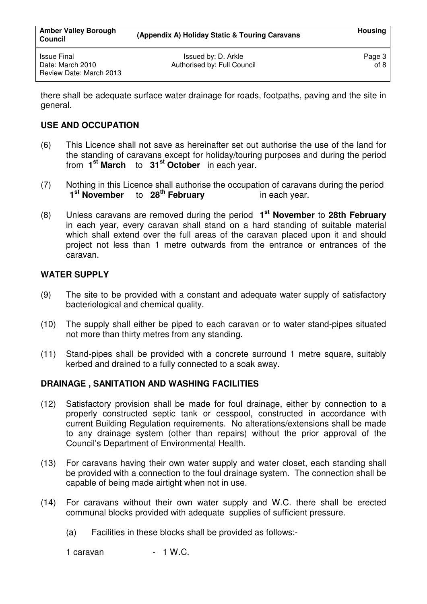there shall be adequate surface water drainage for roads, footpaths, paving and the site in general.

# **USE AND OCCUPATION**

- (6) This Licence shall not save as hereinafter set out authorise the use of the land for the standing of caravans except for holiday/touring purposes and during the period from **1 st March** to **31st October** in each year.
- (7) Nothing in this Licence shall authorise the occupation of caravans during the period  **1st November** to **28th February** in each year.
- (8) Unless caravans are removed during the period **1 st November** to **28th February** in each year, every caravan shall stand on a hard standing of suitable material which shall extend over the full areas of the caravan placed upon it and should project not less than 1 metre outwards from the entrance or entrances of the caravan.

# **WATER SUPPLY**

- (9) The site to be provided with a constant and adequate water supply of satisfactory bacteriological and chemical quality.
- (10) The supply shall either be piped to each caravan or to water stand-pipes situated not more than thirty metres from any standing.
- (11) Stand-pipes shall be provided with a concrete surround 1 metre square, suitably kerbed and drained to a fully connected to a soak away.

# **DRAINAGE , SANITATION AND WASHING FACILITIES**

- (12) Satisfactory provision shall be made for foul drainage, either by connection to a properly constructed septic tank or cesspool, constructed in accordance with current Building Regulation requirements. No alterations/extensions shall be made to any drainage system (other than repairs) without the prior approval of the Council's Department of Environmental Health.
- (13) For caravans having their own water supply and water closet, each standing shall be provided with a connection to the foul drainage system. The connection shall be capable of being made airtight when not in use.
- (14) For caravans without their own water supply and W.C. there shall be erected communal blocks provided with adequate supplies of sufficient pressure.
	- (a) Facilities in these blocks shall be provided as follows:-

 $1$  caravan  $-1$  W.C.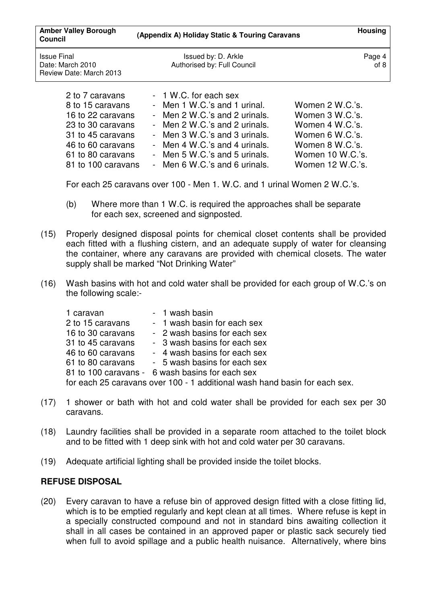| <b>Amber Valley Borough</b><br><b>Council</b>                     | (Appendix A) Holiday Static & Touring Caravans     | <b>Housing</b> |
|-------------------------------------------------------------------|----------------------------------------------------|----------------|
| <b>Issue Final</b><br>Date: March 2010<br>Review Date: March 2013 | Issued by: D. Arkle<br>Authorised by: Full Council | Page 4<br>of 8 |
| 2 to 7 caravans                                                   | - 1 W.C. for each sex                              |                |

| L to I valavallo   | $\overline{1}$ vv.O. TOT CAULI 30A |                  |
|--------------------|------------------------------------|------------------|
| 8 to 15 caravans   | - Men 1 W.C.'s and 1 urinal.       | Women 2 W.C.'s.  |
| 16 to 22 caravans  | - Men 2 W.C.'s and 2 urinals.      | Women 3 W.C.'s.  |
| 23 to 30 caravans  | - Men 2 W.C.'s and 2 urinals.      | Women 4 W.C.'s.  |
| 31 to 45 caravans  | - Men 3 W.C.'s and 3 urinals.      | Women 6 W.C.'s.  |
| 46 to 60 caravans  | - Men 4 W.C.'s and 4 urinals.      | Women 8 W.C.'s.  |
| 61 to 80 caravans  | - Men 5 W.C.'s and 5 urinals.      | Women 10 W.C.'s. |
| 81 to 100 caravans | - Men 6 W.C.'s and 6 urinals.      | Women 12 W.C.'s. |
|                    |                                    |                  |

For each 25 caravans over 100 - Men 1. W.C. and 1 urinal Women 2 W.C.'s.

- (b) Where more than 1 W.C. is required the approaches shall be separate for each sex, screened and signposted.
- (15) Properly designed disposal points for chemical closet contents shall be provided each fitted with a flushing cistern, and an adequate supply of water for cleansing the container, where any caravans are provided with chemical closets. The water supply shall be marked "Not Drinking Water"
- (16) Wash basins with hot and cold water shall be provided for each group of W.C.'s on the following scale:-

| 1 caravan         | - 1 wash basin                                                             |
|-------------------|----------------------------------------------------------------------------|
| 2 to 15 caravans  | - 1 wash basin for each sex                                                |
| 16 to 30 caravans | - 2 wash basins for each sex                                               |
| 31 to 45 caravans | - 3 wash basins for each sex                                               |
| 46 to 60 caravans | - 4 wash basins for each sex                                               |
| 61 to 80 caravans | - 5 wash basins for each sex                                               |
|                   | 81 to 100 caravans - 6 wash basins for each sex                            |
|                   | for each 25 caravans over 100 - 1 additional wash hand basin for each sex. |

- (17) 1 shower or bath with hot and cold water shall be provided for each sex per 30 caravans.
- (18) Laundry facilities shall be provided in a separate room attached to the toilet block and to be fitted with 1 deep sink with hot and cold water per 30 caravans.
- (19) Adequate artificial lighting shall be provided inside the toilet blocks.

## **REFUSE DISPOSAL**

(20) Every caravan to have a refuse bin of approved design fitted with a close fitting lid, which is to be emptied regularly and kept clean at all times. Where refuse is kept in a specially constructed compound and not in standard bins awaiting collection it shall in all cases be contained in an approved paper or plastic sack securely tied when full to avoid spillage and a public health nuisance. Alternatively, where bins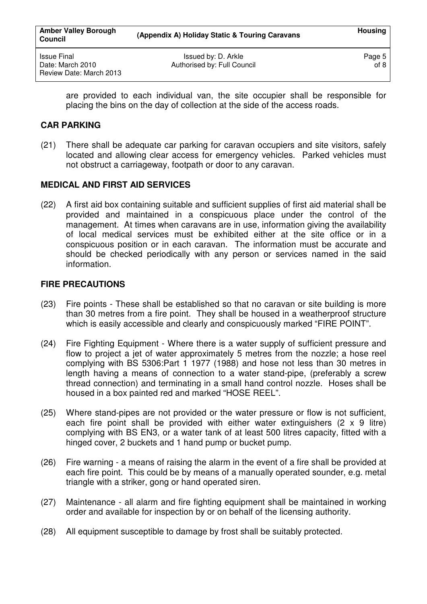Issued by: D. Arkle Authorised by: Full Council

are provided to each individual van, the site occupier shall be responsible for placing the bins on the day of collection at the side of the access roads.

## **CAR PARKING**

(21) There shall be adequate car parking for caravan occupiers and site visitors, safely located and allowing clear access for emergency vehicles. Parked vehicles must not obstruct a carriageway, footpath or door to any caravan.

## **MEDICAL AND FIRST AID SERVICES**

(22) A first aid box containing suitable and sufficient supplies of first aid material shall be provided and maintained in a conspicuous place under the control of the management. At times when caravans are in use, information giving the availability of local medical services must be exhibited either at the site office or in a conspicuous position or in each caravan. The information must be accurate and should be checked periodically with any person or services named in the said information.

## **FIRE PRECAUTIONS**

- (23) Fire points These shall be established so that no caravan or site building is more than 30 metres from a fire point. They shall be housed in a weatherproof structure which is easily accessible and clearly and conspicuously marked "FIRE POINT".
- (24) Fire Fighting Equipment Where there is a water supply of sufficient pressure and flow to project a jet of water approximately 5 metres from the nozzle; a hose reel complying with BS 5306:Part 1 1977 (1988) and hose not less than 30 metres in length having a means of connection to a water stand-pipe, (preferably a screw thread connection) and terminating in a small hand control nozzle. Hoses shall be housed in a box painted red and marked "HOSE REEL".
- (25) Where stand-pipes are not provided or the water pressure or flow is not sufficient, each fire point shall be provided with either water extinguishers (2 x 9 litre) complying with BS EN3, or a water tank of at least 500 litres capacity, fitted with a hinged cover, 2 buckets and 1 hand pump or bucket pump.
- (26) Fire warning a means of raising the alarm in the event of a fire shall be provided at each fire point. This could be by means of a manually operated sounder, e.g. metal triangle with a striker, gong or hand operated siren.
- (27) Maintenance all alarm and fire fighting equipment shall be maintained in working order and available for inspection by or on behalf of the licensing authority.
- (28) All equipment susceptible to damage by frost shall be suitably protected.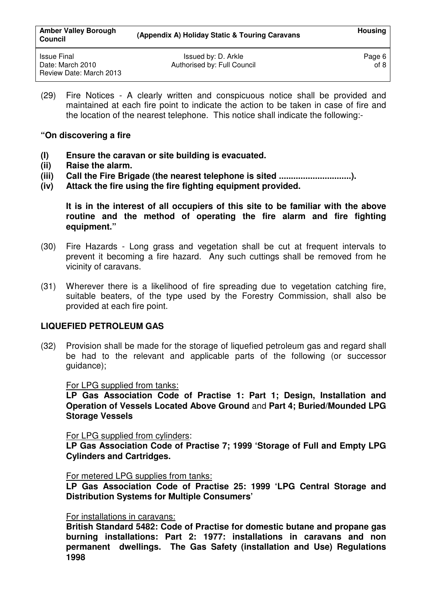(29) Fire Notices - A clearly written and conspicuous notice shall be provided and maintained at each fire point to indicate the action to be taken in case of fire and the location of the nearest telephone. This notice shall indicate the following:-

**"On discovering a fire** 

- **(I) Ensure the caravan or site building is evacuated.**
- **(ii) Raise the alarm.**
- **(iii) Call the Fire Brigade (the nearest telephone is sited ..............................).**
- **(iv) Attack the fire using the fire fighting equipment provided.**

 **It is in the interest of all occupiers of this site to be familiar with the above routine and the method of operating the fire alarm and fire fighting equipment."** 

- (30) Fire Hazards Long grass and vegetation shall be cut at frequent intervals to prevent it becoming a fire hazard. Any such cuttings shall be removed from he vicinity of caravans.
- (31) Wherever there is a likelihood of fire spreading due to vegetation catching fire, suitable beaters, of the type used by the Forestry Commission, shall also be provided at each fire point.

# **LIQUEFIED PETROLEUM GAS**

(32) Provision shall be made for the storage of liquefied petroleum gas and regard shall be had to the relevant and applicable parts of the following (or successor quidance);

For LPG supplied from tanks:

**LP Gas Association Code of Practise 1: Part 1; Design, Installation and Operation of Vessels Located Above Ground** and **Part 4; Buried/Mounded LPG Storage Vessels** 

For LPG supplied from cylinders:

**LP Gas Association Code of Practise 7; 1999 'Storage of Full and Empty LPG Cylinders and Cartridges.** 

## For metered LPG supplies from tanks:

**LP Gas Association Code of Practise 25: 1999 'LPG Central Storage and Distribution Systems for Multiple Consumers'** 

## For installations in caravans:

**British Standard 5482: Code of Practise for domestic butane and propane gas burning installations: Part 2: 1977: installations in caravans and non permanent dwellings. The Gas Safety (installation and Use) Regulations 1998**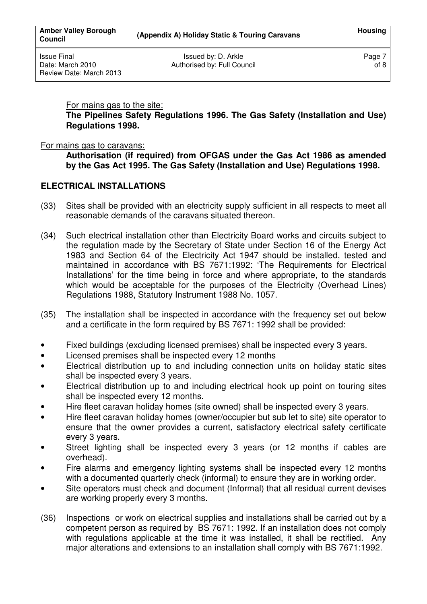For mains gas to the site:

**The Pipelines Safety Regulations 1996. The Gas Safety (Installation and Use) Regulations 1998.**

## For mains gas to caravans:

**Authorisation (if required) from OFGAS under the Gas Act 1986 as amended by the Gas Act 1995. The Gas Safety (Installation and Use) Regulations 1998.** 

## **ELECTRICAL INSTALLATIONS**

- (33) Sites shall be provided with an electricity supply sufficient in all respects to meet all reasonable demands of the caravans situated thereon.
- (34) Such electrical installation other than Electricity Board works and circuits subject to the regulation made by the Secretary of State under Section 16 of the Energy Act 1983 and Section 64 of the Electricity Act 1947 should be installed, tested and maintained in accordance with BS 7671:1992: 'The Requirements for Electrical Installations' for the time being in force and where appropriate, to the standards which would be acceptable for the purposes of the Electricity (Overhead Lines) Regulations 1988, Statutory Instrument 1988 No. 1057.
- (35) The installation shall be inspected in accordance with the frequency set out below and a certificate in the form required by BS 7671: 1992 shall be provided:
- Fixed buildings (excluding licensed premises) shall be inspected every 3 years.
- Licensed premises shall be inspected every 12 months
- Electrical distribution up to and including connection units on holiday static sites shall be inspected every 3 years.
- Electrical distribution up to and including electrical hook up point on touring sites shall be inspected every 12 months.
- Hire fleet caravan holiday homes (site owned) shall be inspected every 3 years.
- Hire fleet caravan holiday homes (owner/occupier but sub let to site) site operator to ensure that the owner provides a current, satisfactory electrical safety certificate every 3 years.
- Street lighting shall be inspected every 3 years (or 12 months if cables are overhead).
- Fire alarms and emergency lighting systems shall be inspected every 12 months with a documented quarterly check (informal) to ensure they are in working order.
- Site operators must check and document (Informal) that all residual current devises are working properly every 3 months.
- (36) Inspections or work on electrical supplies and installations shall be carried out by a competent person as required by BS 7671: 1992. If an installation does not comply with regulations applicable at the time it was installed, it shall be rectified. Any major alterations and extensions to an installation shall comply with BS 7671:1992.